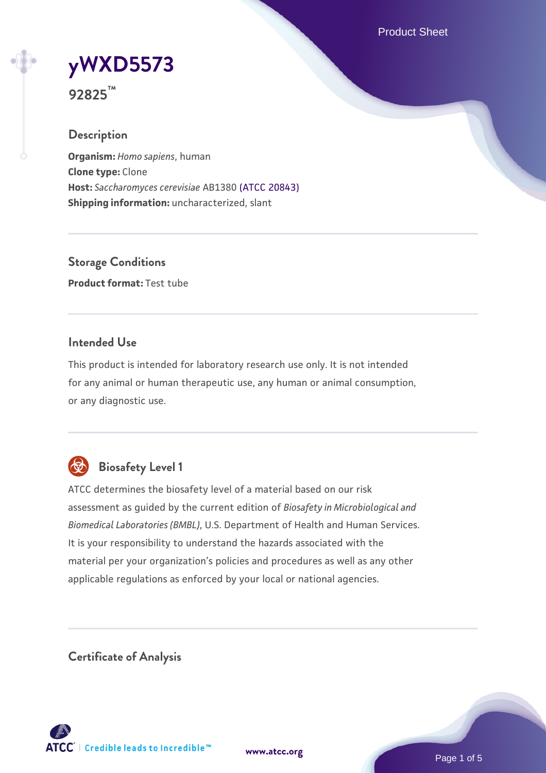Product Sheet



**92825™**

## **Description**

**Organism:** *Homo sapiens*, human **Clone type:** Clone **Host:** *Saccharomyces cerevisiae* AB1380 [\(ATCC 20843\)](https://www.atcc.org/products/20843) **Shipping information:** uncharacterized, slant

**Storage Conditions Product format:** Test tube

## **Intended Use**

This product is intended for laboratory research use only. It is not intended for any animal or human therapeutic use, any human or animal consumption, or any diagnostic use.



## **Biosafety Level 1**

ATCC determines the biosafety level of a material based on our risk assessment as guided by the current edition of *Biosafety in Microbiological and Biomedical Laboratories (BMBL)*, U.S. Department of Health and Human Services. It is your responsibility to understand the hazards associated with the material per your organization's policies and procedures as well as any other applicable regulations as enforced by your local or national agencies.

**Certificate of Analysis**

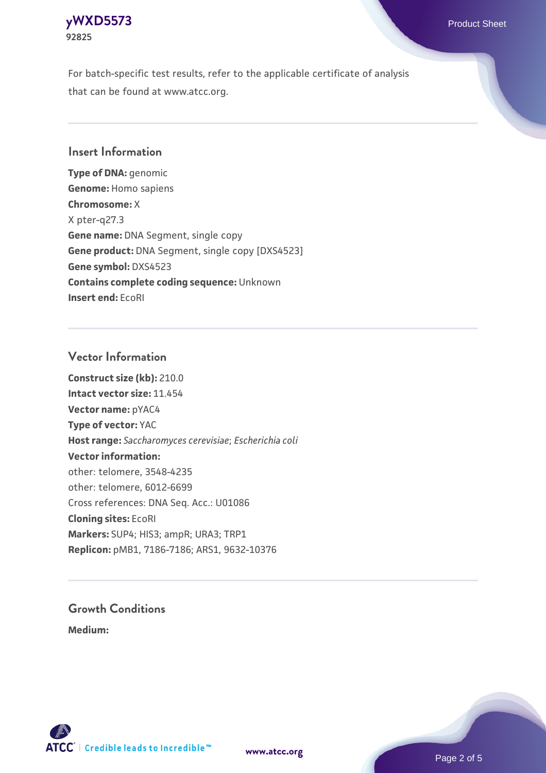#### **[yWXD5573](https://www.atcc.org/products/92825)** Product Sheet **92825**

For batch-specific test results, refer to the applicable certificate of analysis that can be found at www.atcc.org.

## **Insert Information**

**Type of DNA:** genomic **Genome:** Homo sapiens **Chromosome:** X X pter-q27.3 **Gene name:** DNA Segment, single copy **Gene product:** DNA Segment, single copy [DXS4523] **Gene symbol:** DXS4523 **Contains complete coding sequence:** Unknown **Insert end:** EcoRI

## **Vector Information**

**Construct size (kb):** 210.0 **Intact vector size:** 11.454 **Vector name:** pYAC4 **Type of vector:** YAC **Host range:** *Saccharomyces cerevisiae*; *Escherichia coli* **Vector information:** other: telomere, 3548-4235 other: telomere, 6012-6699 Cross references: DNA Seq. Acc.: U01086 **Cloning sites:** EcoRI **Markers:** SUP4; HIS3; ampR; URA3; TRP1 **Replicon:** pMB1, 7186-7186; ARS1, 9632-10376

# **Growth Conditions**

**Medium:** 



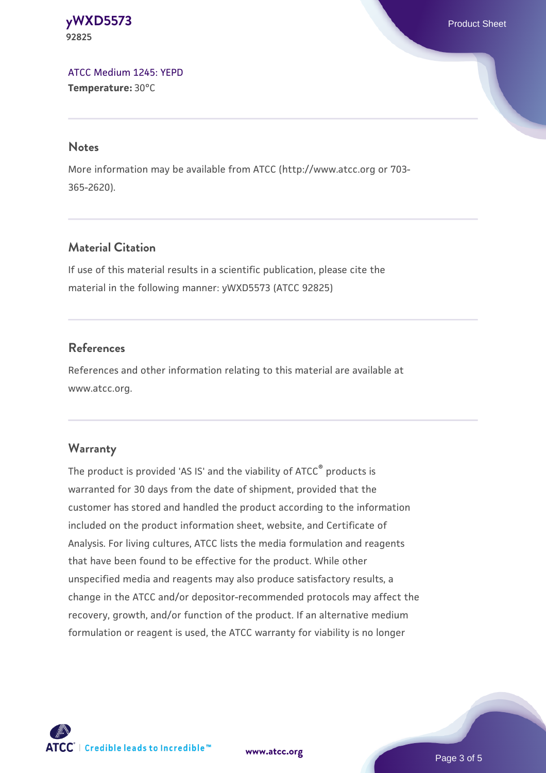#### **[yWXD5573](https://www.atcc.org/products/92825)** Product Sheet **92825**

[ATCC Medium 1245: YEPD](https://www.atcc.org/-/media/product-assets/documents/microbial-media-formulations/1/2/4/5/atcc-medium-1245.pdf?rev=705ca55d1b6f490a808a965d5c072196) **Temperature:** 30°C

#### **Notes**

More information may be available from ATCC (http://www.atcc.org or 703- 365-2620).

## **Material Citation**

If use of this material results in a scientific publication, please cite the material in the following manner: yWXD5573 (ATCC 92825)

## **References**

References and other information relating to this material are available at www.atcc.org.

## **Warranty**

The product is provided 'AS IS' and the viability of ATCC® products is warranted for 30 days from the date of shipment, provided that the customer has stored and handled the product according to the information included on the product information sheet, website, and Certificate of Analysis. For living cultures, ATCC lists the media formulation and reagents that have been found to be effective for the product. While other unspecified media and reagents may also produce satisfactory results, a change in the ATCC and/or depositor-recommended protocols may affect the recovery, growth, and/or function of the product. If an alternative medium formulation or reagent is used, the ATCC warranty for viability is no longer



**[www.atcc.org](http://www.atcc.org)**

Page 3 of 5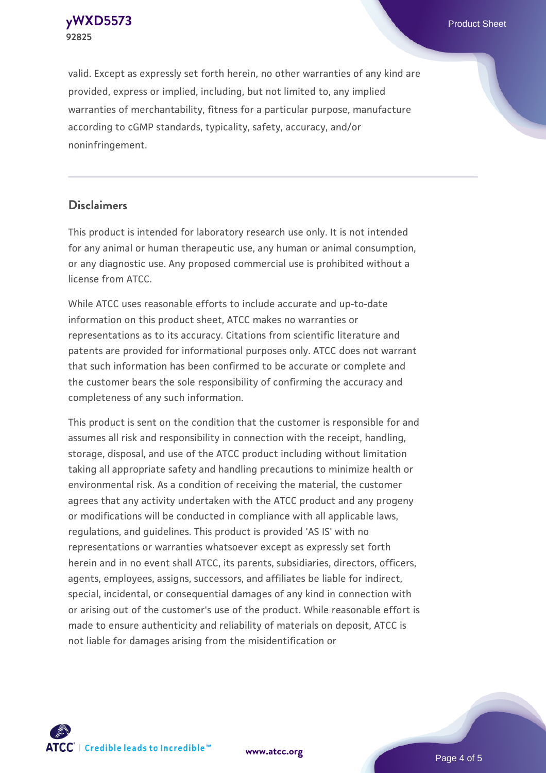**[yWXD5573](https://www.atcc.org/products/92825)** Product Sheet **92825**

valid. Except as expressly set forth herein, no other warranties of any kind are provided, express or implied, including, but not limited to, any implied warranties of merchantability, fitness for a particular purpose, manufacture according to cGMP standards, typicality, safety, accuracy, and/or noninfringement.

#### **Disclaimers**

This product is intended for laboratory research use only. It is not intended for any animal or human therapeutic use, any human or animal consumption, or any diagnostic use. Any proposed commercial use is prohibited without a license from ATCC.

While ATCC uses reasonable efforts to include accurate and up-to-date information on this product sheet, ATCC makes no warranties or representations as to its accuracy. Citations from scientific literature and patents are provided for informational purposes only. ATCC does not warrant that such information has been confirmed to be accurate or complete and the customer bears the sole responsibility of confirming the accuracy and completeness of any such information.

This product is sent on the condition that the customer is responsible for and assumes all risk and responsibility in connection with the receipt, handling, storage, disposal, and use of the ATCC product including without limitation taking all appropriate safety and handling precautions to minimize health or environmental risk. As a condition of receiving the material, the customer agrees that any activity undertaken with the ATCC product and any progeny or modifications will be conducted in compliance with all applicable laws, regulations, and guidelines. This product is provided 'AS IS' with no representations or warranties whatsoever except as expressly set forth herein and in no event shall ATCC, its parents, subsidiaries, directors, officers, agents, employees, assigns, successors, and affiliates be liable for indirect, special, incidental, or consequential damages of any kind in connection with or arising out of the customer's use of the product. While reasonable effort is made to ensure authenticity and reliability of materials on deposit, ATCC is not liable for damages arising from the misidentification or



**[www.atcc.org](http://www.atcc.org)**

Page 4 of 5